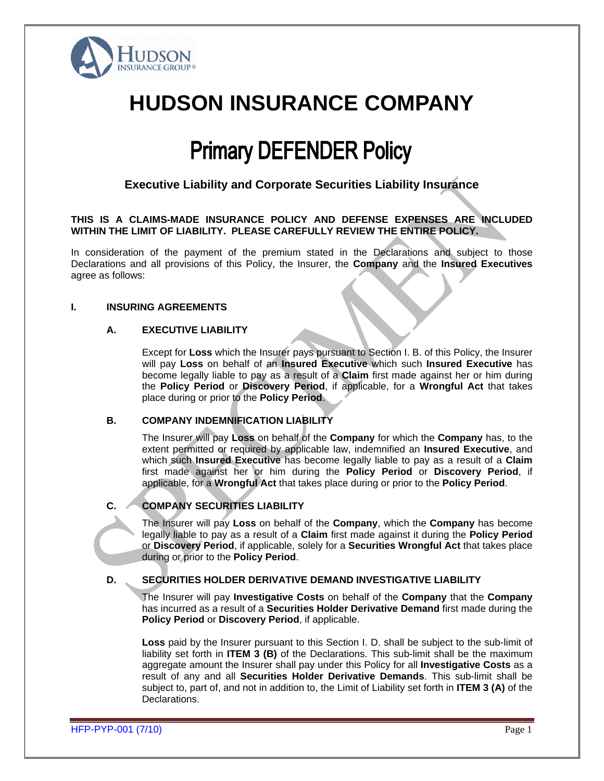

# **HUDSON INSURANCE COMPANY**

# **Primary DEFENDER Policy**

# **Executive Liability and Corporate Securities Liability Insurance**

#### **THIS IS A CLAIMS-MADE INSURANCE POLICY AND DEFENSE EXPENSES ARE INCLUDED WITHIN THE LIMIT OF LIABILITY. PLEASE CAREFULLY REVIEW THE ENTIRE POLICY.**

In consideration of the payment of the premium stated in the Declarations and subject to those Declarations and all provisions of this Policy, the Insurer, the **Company** and the **Insured Executives** agree as follows:

#### **I. INSURING AGREEMENTS**

#### **A. EXECUTIVE LIABILITY**

Except for **Loss** which the Insurer pays pursuant to Section I. B. of this Policy, the Insurer will pay **Loss** on behalf of an **Insured Executive** which such **Insured Executive** has become legally liable to pay as a result of a **Claim** first made against her or him during the **Policy Period** or **Discovery Period**, if applicable, for a **Wrongful Act** that takes place during or prior to the **Policy Period**.

#### **B. COMPANY INDEMNIFICATION LIABILITY**

The Insurer will pay **Loss** on behalf of the **Company** for which the **Company** has, to the extent permitted or required by applicable law, indemnified an **Insured Executive**, and which such **Insured Executive** has become legally liable to pay as a result of a **Claim**  first made against her or him during the **Policy Period** or **Discovery Period**, if applicable, for a **Wrongful Act** that takes place during or prior to the **Policy Period**.

# **C. COMPANY SECURITIES LIABILITY**

The Insurer will pay **Loss** on behalf of the **Company**, which the **Company** has become legally liable to pay as a result of a **Claim** first made against it during the **Policy Period** or **Discovery Period**, if applicable, solely for a **Securities Wrongful Act** that takes place during or prior to the **Policy Period**.

#### **D. SECURITIES HOLDER DERIVATIVE DEMAND INVESTIGATIVE LIABILITY**

The Insurer will pay **Investigative Costs** on behalf of the **Company** that the **Company**  has incurred as a result of a **Securities Holder Derivative Demand** first made during the **Policy Period** or **Discovery Period**, if applicable.

**Loss** paid by the Insurer pursuant to this Section I. D. shall be subject to the sub-limit of liability set forth in **ITEM 3 (B)** of the Declarations. This sub-limit shall be the maximum aggregate amount the Insurer shall pay under this Policy for all **Investigative Costs** as a result of any and all **Securities Holder Derivative Demands**. This sub-limit shall be subject to, part of, and not in addition to, the Limit of Liability set forth in **ITEM 3 (A)** of the Declarations.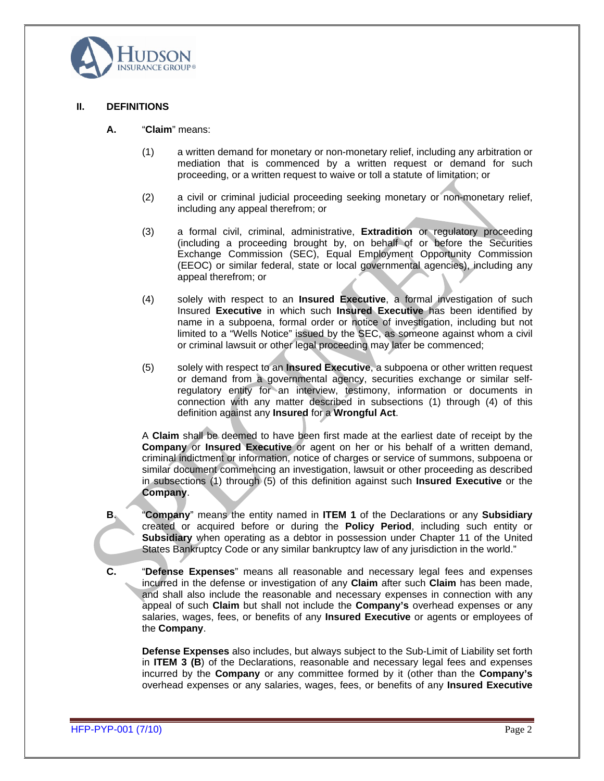

#### **II. DEFINITIONS**

- **A.** "**Claim**" means:
	- (1) a written demand for monetary or non-monetary relief, including any arbitration or mediation that is commenced by a written request or demand for such proceeding, or a written request to waive or toll a statute of limitation; or
	- (2) a civil or criminal judicial proceeding seeking monetary or non-monetary relief, including any appeal therefrom; or
	- (3) a formal civil, criminal, administrative, **Extradition** or regulatory proceeding (including a proceeding brought by, on behalf of or before the Securities Exchange Commission (SEC), Equal Employment Opportunity Commission (EEOC) or similar federal, state or local governmental agencies), including any appeal therefrom; or
	- (4) solely with respect to an **Insured Executive**, a formal investigation of such Insured **Executive** in which such **Insured Executive** has been identified by name in a subpoena, formal order or notice of investigation, including but not limited to a "Wells Notice" issued by the SEC, as someone against whom a civil or criminal lawsuit or other legal proceeding may later be commenced;
	- (5) solely with respect to an **Insured Executive**, a subpoena or other written request or demand from a governmental agency, securities exchange or similar selfregulatory entity for an interview, testimony, information or documents in connection with any matter described in subsections (1) through (4) of this definition against any **Insured** for a **Wrongful Act**.

A **Claim** shall be deemed to have been first made at the earliest date of receipt by the **Company** or **Insured Executive** or agent on her or his behalf of a written demand, criminal indictment or information, notice of charges or service of summons, subpoena or similar document commencing an investigation, lawsuit or other proceeding as described in subsections (1) through (5) of this definition against such **Insured Executive** or the **Company.** 

- **B**. "**Company**" means the entity named in **ITEM 1** of the Declarations or any **Subsidiary** created or acquired before or during the **Policy Period**, including such entity or **Subsidiary** when operating as a debtor in possession under Chapter 11 of the United States Bankruptcy Code or any similar bankruptcy law of any jurisdiction in the world."
- **C.** "**Defense Expenses**" means all reasonable and necessary legal fees and expenses incurred in the defense or investigation of any **Claim** after such **Claim** has been made, and shall also include the reasonable and necessary expenses in connection with any appeal of such **Claim** but shall not include the **Company's** overhead expenses or any salaries, wages, fees, or benefits of any **Insured Executive** or agents or employees of the **Company**.

**Defense Expenses** also includes, but always subject to the Sub-Limit of Liability set forth in **ITEM 3 (B**) of the Declarations, reasonable and necessary legal fees and expenses incurred by the **Company** or any committee formed by it (other than the **Company's** overhead expenses or any salaries, wages, fees, or benefits of any **Insured Executive**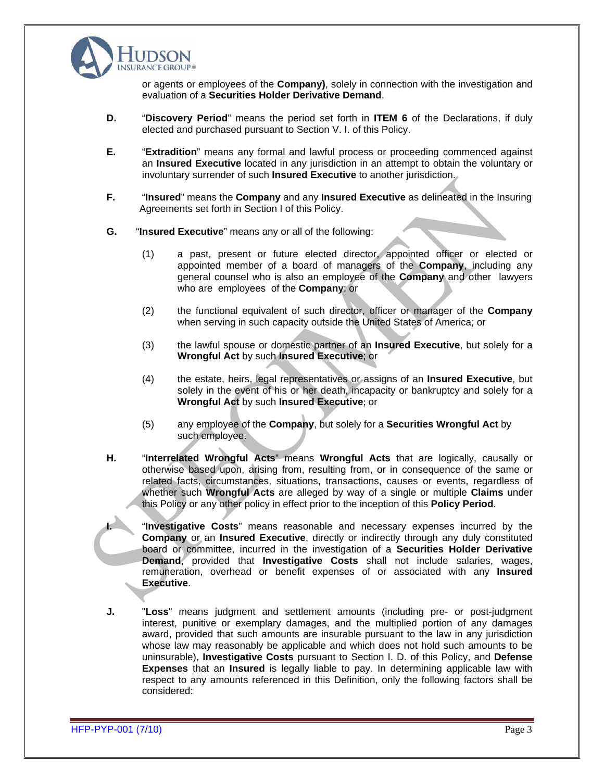

or agents or employees of the **Company)**, solely in connection with the investigation and evaluation of a **Securities Holder Derivative Demand**.

- **D.** "**Discovery Period**" means the period set forth in **ITEM 6** of the Declarations, if duly elected and purchased pursuant to Section V. I. of this Policy.
- **E.** "**Extradition**" means any formal and lawful process or proceeding commenced against an **Insured Executive** located in any jurisdiction in an attempt to obtain the voluntary or involuntary surrender of such **Insured Executive** to another jurisdiction.
- **F.** "**Insured**" means the **Company** and any **Insured Executive** as delineated in the Insuring Agreements set forth in Section I of this Policy.
- **G.** "**Insured Executive**" means any or all of the following:
	- (1) a past, present or future elected director, appointed officer or elected or appointed member of a board of managers of the **Company**, including any general counsel who is also an employee of the **Company** and other lawyers who are employees of the **Company**; or
	- (2) the functional equivalent of such director, officer or manager of the **Company**  when serving in such capacity outside the United States of America; or
	- (3) the lawful spouse or domestic partner of an **Insured Executive**, but solely for a **Wrongful Act** by such **Insured Executive**; or
	- (4) the estate, heirs, legal representatives or assigns of an **Insured Executive**, but solely in the event of his or her death, incapacity or bankruptcy and solely for a **Wrongful Act** by such **Insured Executive**; or
	- (5) any employee of the **Company**, but solely for a **Securities Wrongful Act** by such employee.
- **H.** "**Interrelated Wrongful Acts**" means **Wrongful Acts** that are logically, causally or otherwise based upon, arising from, resulting from, or in consequence of the same or related facts, circumstances, situations, transactions, causes or events, regardless of whether such **Wrongful Acts** are alleged by way of a single or multiple **Claims** under this Policy or any other policy in effect prior to the inception of this **Policy Period**.

**I.** "**Investigative Costs**" means reasonable and necessary expenses incurred by the **Company** or an **Insured Executive**, directly or indirectly through any duly constituted board or committee, incurred in the investigation of a **Securities Holder Derivative Demand**, provided that **Investigative Costs** shall not include salaries, wages, remuneration, overhead or benefit expenses of or associated with any **Insured Executive**.

**J.** "**Loss**" means judgment and settlement amounts (including pre- or post-judgment interest, punitive or exemplary damages, and the multiplied portion of any damages award, provided that such amounts are insurable pursuant to the law in any jurisdiction whose law may reasonably be applicable and which does not hold such amounts to be uninsurable), **Investigative Costs** pursuant to Section I. D. of this Policy, and **Defense Expenses** that an **Insured** is legally liable to pay. In determining applicable law with respect to any amounts referenced in this Definition, only the following factors shall be considered: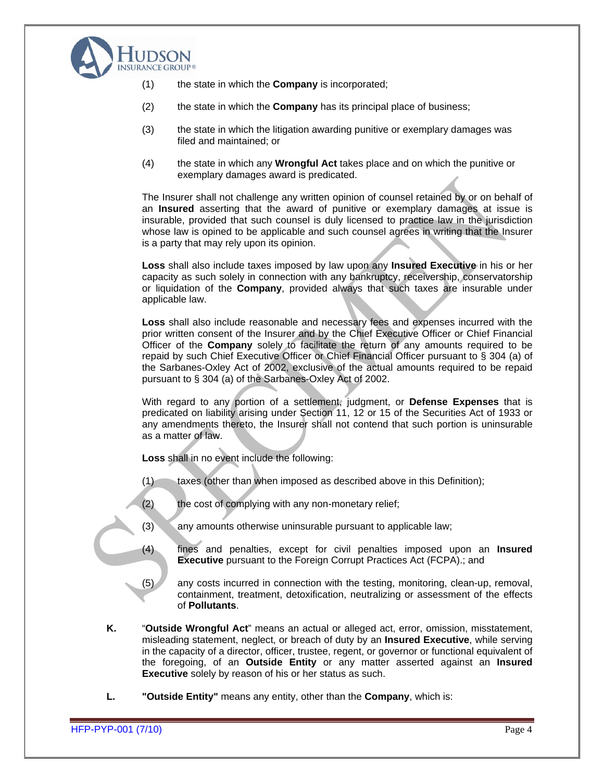

- (1) the state in which the **Company** is incorporated;
- (2) the state in which the **Company** has its principal place of business;
- (3) the state in which the litigation awarding punitive or exemplary damages was filed and maintained; or
- (4) the state in which any **Wrongful Act** takes place and on which the punitive or exemplary damages award is predicated.

 The Insurer shall not challenge any written opinion of counsel retained by or on behalf of an **Insured** asserting that the award of punitive or exemplary damages atissue is insurable, provided that such counsel is duly licensed to practice law in the jurisdiction whose law is opined to be applicable and such counsel agrees in writing that the Insurer is a party that may rely upon its opinion.

**Loss** shall also include taxes imposed by law upon any **Insured Executive** in his or her capacity as such solely in connection with any bankruptcy, receivership, conservatorship or liquidation of the **Company**, provided always that such taxes are insurable under applicable law.

**Loss** shall also include reasonable and necessary fees and expenses incurred with the prior written consent of the Insurer and by the Chief Executive Officer or Chief Financial Officer of the **Company** solely to facilitate the return of any amounts required to be repaid by such Chief Executive Officer or Chief Financial Officer pursuant to § 304 (a) of the Sarbanes-Oxley Act of 2002, exclusive of the actual amounts required to be repaid pursuant to § 304 (a) of the Sarbanes-Oxley Act of 2002.

With regard to any portion of a settlement, judgment, or **Defense Expenses** that is predicated on liability arising under Section 11, 12 or 15 of the Securities Act of 1933 or any amendments thereto, the Insurer shall not contend that such portion is uninsurable as a matter of law.

**Loss** shall in no event include the following:

- $(1)$  taxes (other than when imposed as described above in this Definition);
- (2) the cost of complying with any non-monetary relief;
- (3) any amounts otherwise uninsurable pursuant to applicable law;
- (4) fines and penalties, except for civil penalties imposed upon an **Insured Executive** pursuant to the Foreign Corrupt Practices Act (FCPA).; and
- (5) any costs incurred in connection with the testing, monitoring, clean-up, removal, containment, treatment, detoxification, neutralizing or assessment of the effects of **Pollutants**.
- **K.** "**Outside Wrongful Act**" means an actual or alleged act, error, omission, misstatement, misleading statement, neglect, or breach of duty by an **Insured Executive**, while serving in the capacity of a director, officer, trustee, regent, or governor or functional equivalent of the foregoing, of an **Outside Entity** or any matter asserted against an **Insured Executive** solely by reason of his or her status as such.
- **L. "Outside Entity"** means any entity, other than the **Company**, which is: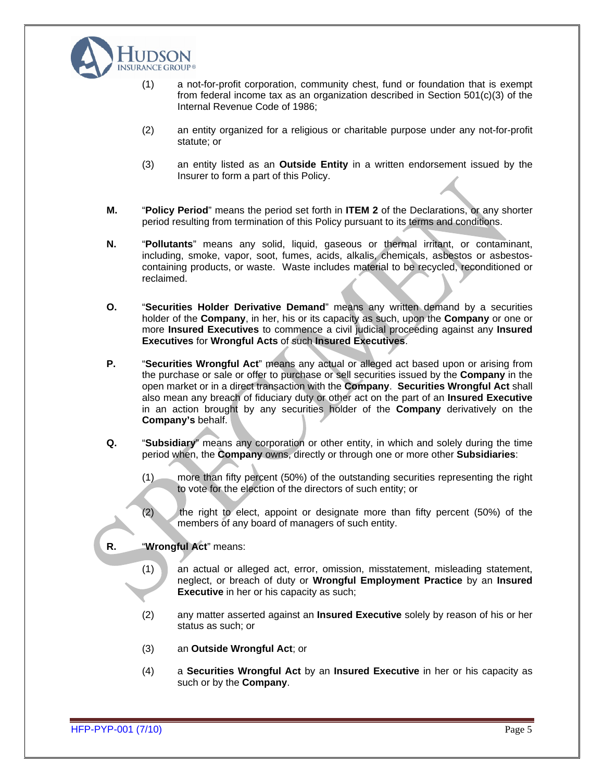

- (1) a not-for-profit corporation, community chest, fund or foundation that is exempt from federal income tax as an organization described in Section 501(c)(3) of the Internal Revenue Code of 1986;
- (2) an entity organized for a religious or charitable purpose under any not-for-profit statute; or statute; or statute; and statute; or statute;  $\sim$  statute;  $\sim$  statute; or statute; or statute;  $\sim$
- (3) an entity listed as an **Outside Entity** in a written endorsement issued by the Insurer to form a part of this Policy.
- **M.** "**Policy Period**" means the period set forth in **ITEM 2** of the Declarations, or any shorter period resulting from termination of this Policy pursuant to its terms and conditions.
- **N.** "**Pollutants**" means any solid, liquid, gaseous or thermal irritant, or contaminant, including, smoke, vapor, soot, fumes, acids, alkalis, chemicals, asbestos or asbestos containing products, or waste. Waste includes material to be recycled, reconditioned or reclaimed. reclaimed.
- **O.** "**Securities Holder Derivative Demand**" means any written demand by a securities holder of the **Company**, in her, his or its capacity as such, upon the **Company** or one or more **Insured Executives** to commence a civil judicial proceeding against any **Insured Executives** for **Wrongful Acts** of such **Insured Executives**.
- **P.** "**Securities Wrongful Act**" means any actual or alleged act based upon or arising from the purchase or sale or offer to purchase or sell securities issued by the **Company** in the open market or in a direct transaction with the **Company**. **Securities Wrongful Act** shall also mean any breach of fiduciary duty or other act on the part of an **Insured Executive** in an action brought by any securities holder of the **Company** derivatively on the **Company's** behalf.
- **Q.** "**Subsidiary**" means any corporation or other entity, in which and solely during the time
	- period when, the **Company** owns, directly or through one or more other **Subsidiaries**:  $(1)$  more than fifty percent (50%) of the outstanding securities representing the right to vote for the election of the directors of such entity; or
	- (2) the right to elect, appoint or designate more than fifty percent (50%) of the members of any board of managers of such entity.

#### **R.** "**Wrongful Act**" means:

- (1) an actual or alleged act, error, omission, misstatement, misleading statement, neglect, or breach of duty or **Wrongful Employment Practice** by an **Insured Executive** in her or his capacity as such;
- (2) any matter asserted against an **Insured Executive** solely by reason of his or her status as such; or **and the such as a such a such as a such** a such as  $\parallel$  and  $\parallel$  and  $\parallel$  and  $\parallel$  and  $\parallel$  and  $\parallel$  and  $\parallel$  and  $\parallel$  and  $\parallel$  and  $\parallel$  and  $\parallel$  and  $\parallel$  and  $\parallel$  and  $\parallel$  and  $\parallel$  and  $\parallel$  and  $\parallel$  an
- (3) an **Outside Wrongful Act**; or
- (4) a **Securities Wrongful Act** by an **Insured Executive** in her or his capacity as such or by the **Company**.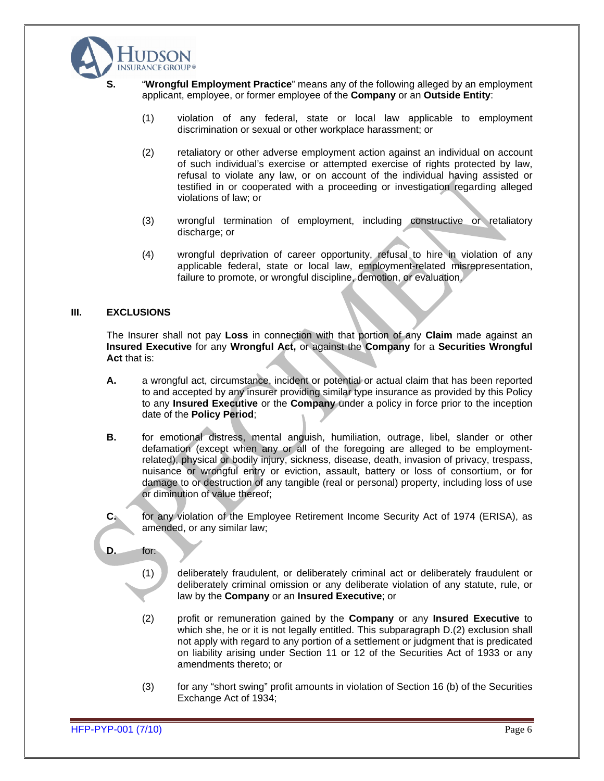

- - **S.** "**Wrongful Employment Practice**" means any of the following alleged by an employment applicant, employee, or former employee of the **Company** or an **Outside Entity**:
		- (1) violation of any federal, state or local law applicable to employment discrimination or sexual or other workplace harassment; or
		- (2) retaliatory or other adverse employment action against an individual on account of such individual's exercise or attempted exercise of rights protected by law, refusal to violate any law, or on account of the individual having assisted or testified in or cooperated with a proceeding or investigation regarding alleged violations of law; or
		- (3) wrongful termination of employment, including constructive or retaliatory discharge; or
		- (4) wrongful deprivation of career opportunity, refusal to hire in violation of any applicable federal, state or local law, employment-related misrepresentation, failure to promote, or wrongful discipline, demotion, or evaluation.

#### **III. EXCLUSIONS**

The Insurer shall not pay **Loss** in connection with that portion of any **Claim** made against an **Insured Executive** for any **Wrongful Act,** or against the **Company** for a **Securities Wrongful Act** that is:

- **A.** a wrongful act, circumstance, incident or potential or actual claim that has been reported to and accepted by any insurer providing similar type insurance as provided by this Policy to any **Insured Executive** or the **Company** under a policy in force prior to the inception date of the **Policy Period**;
- **B.** for emotional distress, mental anguish, humiliation, outrage, libel, slander or other defamation (except when any or all of the foregoing are alleged to be employmentrelated), physical or bodily injury, sickness, disease, death, invasion of privacy, trespass, nuisance or wrongful entry or eviction, assault, battery or loss of consortium, or for damage to or destruction of any tangible (real or personal) property, including loss of use or diminution of value thereof;
- **C.** for any violation of the Employee Retirement Income Security Act of 1974 (ERISA), as amended, or any similar law;
- **D.** for:
	- (1) deliberately fraudulent, or deliberately criminal actor deliberately fraudulent or deliberately criminal omission or any deliberate violation of any statute, rule, or law by the **Company** or an **Insured Executive**; or
	- (2) profit or remuneration gained by the **Company** or any **Insured Executive** to which she, he or it is not legally entitled. This subparagraph  $D(2)$  exclusion shall not apply with regard to any portion of a settlement or judgment that is predicated on liability arising under Section 11 or 12 of the Securities Act of 1933 or any amendments thereto; or
	- (3) for any "short swing" profit amounts in violation of Section 16 (b) of the Securities Exchange Act of 1934;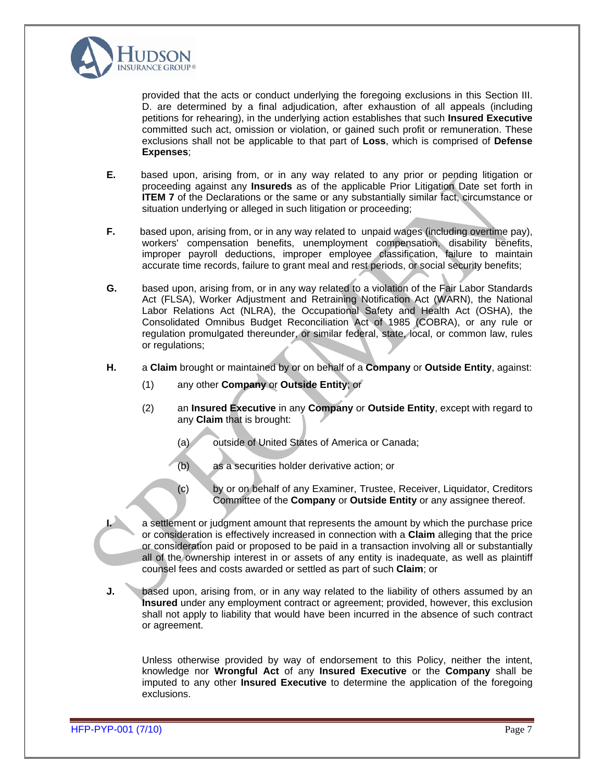

provided that the acts or conduct underlying the foregoing exclusions in this Section III. D. are determined by a final adjudication, after exhaustion of all appeals (including petitions for rehearing), in the underlying action establishes that such **Insured Executive** committed such act, omission or violation, or gained such profit or remuneration. These exclusions shall not be applicable to that part of **Loss**, which is comprised of **Defense Expenses**;

- **E.** based upon, arising from, or in any way related to any prior or pending litigation or proceeding against any **Insureds** as of the applicable Prior Litigation Date set forth in **ITEM 7** of the Declarations or the same or any substantially similar fact, circumstance or situation underlying or alleged in such litigation or proceeding;
- **F.** based upon, arising from, or in any way related to unpaid wages (including overtime pay), workers' compensation benefits, unemployment compensation, disability benefits, improper payroll deductions, improper employee classification, failure to maintain accurate time records, failure to grant meal and rest periods, or social security benefits;
- **G.** based upon, arising from, or in any way related to a violation of the Fair Labor Standards Act (FLSA), Worker Adjustment and Retraining Notification Act (WARN), the National Labor Relations Act (NLRA), the Occupational Safety and Health Act (OSHA), the Consolidated Omnibus Budget Reconciliation Act of 1985 (COBRA), or any rule or regulation promulgated thereunder, or similar federal, state, local, or common law, rules or regulations; the contract of the contract of the contract of the contract of the contract of the contract of the contract of the contract of the contract of the contract of the contract of the contract of the contract o
- **H.** a **Claim** brought or maintained by or on behalf of a **Company** or **Outside Entity**, against:
	- (1) any other **Company** or **Outside Entity**; or
	- (2) an **Insured Executive** in any **Company** or **Outside Entity**, except with regard to any **Claim** that is brought:
		- (a) outside of United States of America or Canada;
		- (b) as a securities holder derivative action; or
		- (c) by or on behalf of any Examiner, Trustee, Receiver, Liquidator, Creditors Committee of the **Company** or **Outside Entity** or any assignee thereof.

**I.** a settlement or judgment amount that represents the amount by which the purchase price or consideration is effectively increased in connection with a **Claim** alleging that the price or consideration paid or proposed to be paid in a transaction involving all or substantially all of the ownership interest in or assets of any entity is inadequate, as well as plaintiff counsel fees and costs awarded or settled as part of such **Claim**; or

**J.** based upon, arising from, or in any way related to the liability of others assumed by an **Insured** under any employment contract or agreement; provided, however, this exclusion shall not apply to liability that would have been incurred in the absence of such contract or agreement.

Unless otherwise provided by way of endorsement to this Policy, neither the intent, knowledge nor **Wrongful Act** of any **Insured Executive** or the **Company** shall be imputed to any other **Insured Executive** to determinethe application of the foregoing exclusions.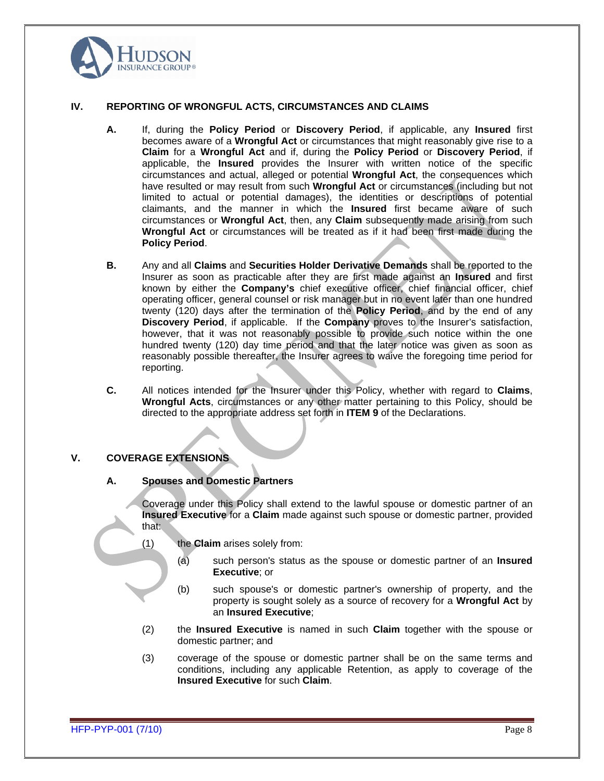

#### **IV. REPORTING OF WRONGFUL ACTS, CIRCUMSTANCES AND CLAIMS**

- **A.** If, during the **Policy Period** or **Discovery Period**, if applicable, any **Insured** first becomes aware of a **Wrongful Act** or circumstances that might reasonably give rise to a **Claim** for a **Wrongful Act** and if, during the **Policy Period** or **Discovery Period**, if applicable, the **Insured** provides the Insurer with written notice of the specific circumstances and actual, alleged or potential **Wrongful Act**, the consequences which have resulted or may result from such **Wrongful Act** or circumstances (including but not limited to actual or potential damages), the identities or descriptions of potential claimants, and the manner in which the **Insured** first became aware of such circumstances or **Wrongful Act**, then, any **Claim** subsequently made arising from such **Wrongful Act** or circumstances will be treated as if it had been first made during the **Policy Period**.
- **B.** Any and all **Claims** and **Securities Holder Derivative Demands** shall be reported to the Insurer as soon as practicable after they are first made against an **Insured** and first known by either the **Company's** chief executive officer, chief financial officer, chief operating officer, general counsel or risk manager but in no event later than one hundred twenty (120) days after the termination of the **Policy Period**, and by the end of any **Discovery Period**, if applicable. If the **Company** proves to the Insurer's satisfaction, however, that it was not reasonably possible to provide such notice within the one hundred twenty (120) day time period and that the later notice was given as soon as reasonably possible thereafter, the Insurer agrees to waive the foregoing time period for reporting.
- **C.** All notices intended for the Insurer under this Policy, whether with regard to **Claims**, **Wrongful Acts**, circumstances or any other matter pertaining to this Policy, should be directed to the appropriate address set forth in **ITEM 9** of the Declarations.

#### **V. COVERAGE EXTENSIONS**

#### **A. Spouses and Domestic Partners**

Coverage under this Policy shall extend to the lawful spouse or domestic partner of an **Insured Executive** for a **Claim** made against such spouse or domestic partner, provided that: when the contract of the contract of the contract of the contract of the contract of the contract of the

- (1) the **Claim** arises solely from:
	- (a) such person's status as the spouse or domestic partner of an **Insured Executive**; or
	- (b) such spouse's or domestic partner's ownership of property, and the property is sought solely as a source of recovery for a **Wrongful Act** by an **Insured Executive**;
- (2) the **Insured Executive** is named in such **Claim** together with the spouse or domestic partner; and
- (3) coverage of the spouse or domestic partner shall be on the same terms and conditions, including any applicable Retention, as apply to coverage of the **Insured Executive** for such **Claim**.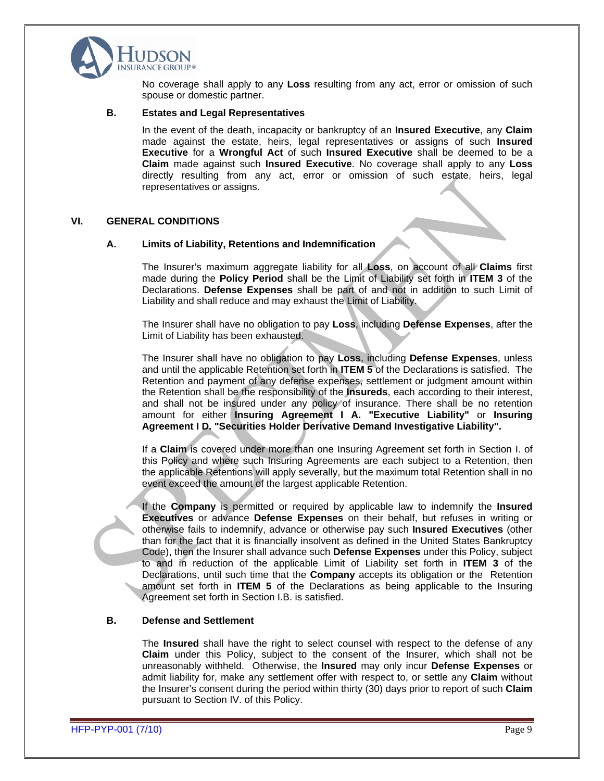

No coverage shall apply to any **Loss** resulting from any act, error or omission of such spouse or domestic partner.

#### **B. Estates and Legal Representatives**

In the event of the death, incapacity or bankruptcy of an **Insured Executive**, any **Claim**  made against the estate, heirs, legal representatives or assigns of such **Insured Executive** for a **Wrongful Act** of such **Insured Executive** shall be deemed to be a **Claim** made against such **Insured Executive**. No coverage shall apply to any **Loss** directly resulting from any act, error or omission of such estate, heirs, legal representatives or assigns.

#### **VI. GENERAL CONDITIONS**

#### **A. Limits of Liability, Retentions and Indemnification**

The Insurer's maximum aggregate liability for all **Loss**, on account of all **Claims** first made during the **Policy Period** shall be the Limit of Liability set forth in **ITEM 3** of the Declarations. **Defense Expenses** shall be part of and not in addition to such Limit of Liability and shall reduce and may exhaust the Limit of Liability.

The Insurer shall have no obligation to pay **Loss**, including **Defense Expenses**, after the Limit of Liability has been exhausted.

The Insurer shall have no obligation to pay **Loss**, including **Defense Expenses**, unless and until the applicable Retention set forth in **ITEM 5** of the Declarations is satisfied. The Retention and payment of any defense expenses, settlement or judgment amount within the Retention shall be the responsibility of the **Insureds**, each according to their interest, and shall not be insured under any policy of insurance. There shall be no retention amount for either **Insuring Agreement I A. "Executive Liability"** or **Insuring Agreement I D. "Securities Holder Derivative Demand Investigative Liability".**

If a **Claim** is covered under more than one Insuring Agreement set forth in Section I. of this Policy and where such Insuring Agreements are each subject to a Retention, then the applicable Retentions will apply severally, but the maximum total Retention shall in no event exceed the amount of the largest applicable Retention.

If the **Company** is permitted or required by applicable law to indemnify the **Insured Executives** or advance **Defense Expenses** on their behalf, but refuses in writing or otherwise fails to indemnify, advance or otherwise pay such **Insured Executives** (other than for the fact that it is financially insolvent as defined in the United States Bankruptcy Code), then the Insurer shall advance such **Defense Expenses** under this Policy, subject to and in reduction of the applicable Limit of Liability set forth in **ITEM 3** of the Declarations, until such time that the **Company** accepts its obligation or the Retention amount set forth in **ITEM 5** of the Declarations as being applicable to the Insuring Agreement set forth in Section I.B. is satisfied.

#### **B. Defense and Settlement**

The **Insured** shall have the right to select counsel with respect to the defense of any **Claim** under this Policy, subject to the consent of the Insurer, which shall not be unreasonably withheld. Otherwise, the **Insured** may only incur **Defense Expenses** or admit liability for, make any settlement offer with respect to, or settle any **Claim** without the Insurer's consent during the period within thirty (30) days prior to report of such **Claim** pursuant to Section IV. of this Policy.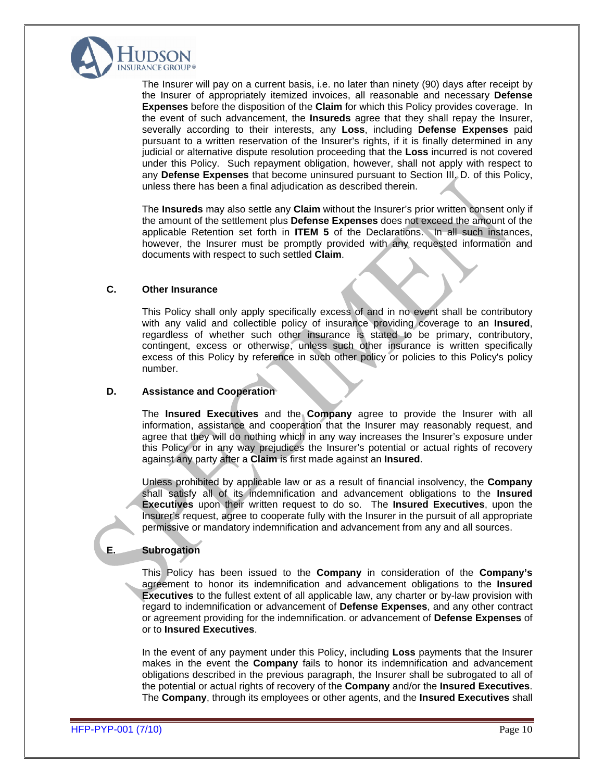

The Insurer will pay on a current basis, i.e. no later than ninety (90) days after receipt by the Insurer of appropriately itemized invoices, all reasonable and necessary **Defense Expenses** before the disposition of the **Claim** for which this Policy provides coverage. In the event of such advancement, the **Insureds** agree that they shall repay the Insurer, severally according to their interests, any **Loss**, including **Defense Expenses** paid pursuant to a written reservation of the Insurer's rights, if it is finally determined in any judicial or alternative dispute resolution proceeding that the **Loss** incurred is not covered under this Policy. Such repayment obligation, however, shall not apply with respect to any **Defense Expenses** that become uninsured pursuant to Section III. D. of this Policy, unless there has been a final adjudication as described therein.

The **Insureds** may also settle any **Claim** without the Insurer's prior written consent only if the amount of the settlement plus **Defense Expenses** does not exceed the amount of the applicable Retention set forth in **ITEM 5** of the Declarations. In all such instances, however, the Insurer must be promptly provided with any requested information and documents with respect to such settled **Claim**.

#### **C. Other Insurance**

This Policy shall only apply specifically excess of and in no event shall be contributory with any valid and collectible policy of insurance providing coverage to an **Insured**, regardless of whether such other insurance is stated to be primary, contributory, contingent, excess or otherwise, unless such other insurance is written specifically excess of this Policy by reference in such other policy or policies to this Policy's policy number.

#### **D. Assistance and Cooperation**

The **Insured Executives** and the **Company** agree to provide the Insurer with all information, assistance and cooperation that the Insurer may reasonably request, and agree that they will do nothing which in any way increases the Insurer's exposure under this Policy or in any way prejudices the Insurer's potential or actual rights of recovery against any party after a **Claim** is first made against an **Insured**.

Unless prohibited by applicable law or as a result of financial insolvency, the **Company** shall satisfy all of its indemnification and advancement obligations to the **Insured Executives** upon their written request to do so. The **Insured Executives**, upon the Insurer's request, agree to cooperate fully with the Insurer in the pursuit of all appropriate permissive or mandatory indemnification and advancement from any and all sources.

# **E. Subrogation**

This Policy has been issued to the **Company** in consideration of the **Company's** agreement to honor its indemnification and advancement obligations to the **Insured Executives** to the fullest extent of all applicable law, any charter or by-law provision with regard to indemnification or advancement of **Defense Expenses**, and any other contract or agreement providing for the indemnification. or advancement of **Defense Expenses** of or to **Insured Executives**.

In the event of any payment under this Policy, including **Loss** payments that the Insurer makes in the event the **Company** fails to honor its indemnification and advancement obligations described in the previous paragraph, the Insurer shall be subrogated to all of the potential or actual rights of recovery of the **Company** and/or the **Insured Executives**. The **Company**, through its employees or other agents, and the **Insured Executives** shall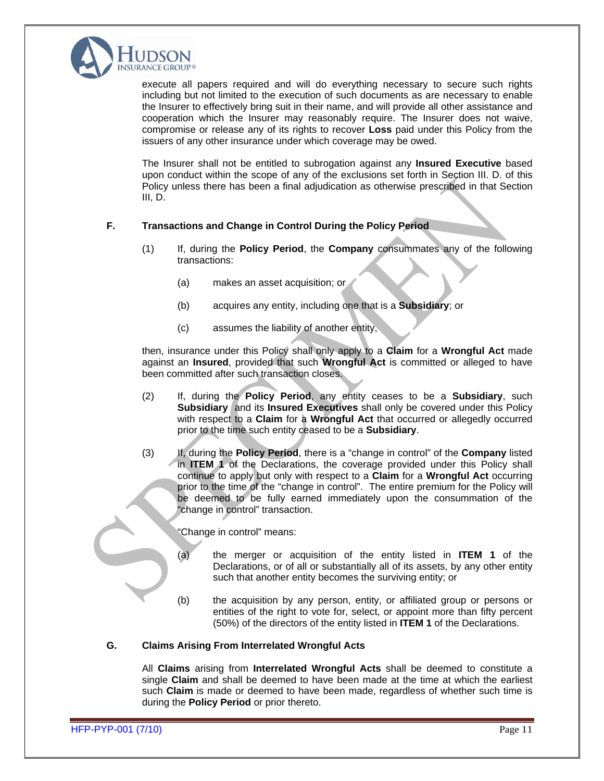

execute all papers required and will do everything necessary to secure such rights including but not limited to the execution of such documents as are necessary to enable the Insurer to effectively bring suit in their name, and will provide all other assistance and cooperation which the Insurer may reasonably require. The Insurer does not waive, compromise or release any of its rights to recover **Loss** paid under this Policy from the issuers of any other insurance under which coverage may be owed.

The Insurer shall not be entitled to subrogation against any **Insured Executive** based upon conduct within the scope of any of the exclusions set forth in Section III. D. of this Policy unless there has been a final adjudication as otherwise prescribed in that Section III, D.

### **F. Transactions and Change in Control During the Policy Period**

- (1) If, during the **Policy Period**, the **Company** consummates any of the following transactions:
	- (a) makes an asset acquisition; or
	- (b) acquires any entity, including one that is a **Subsidiary**; or
	- (c) assumes the liability of another entity,

then, insurance under this Policy shall only apply to a **Claim** for a **Wrongful Act** made against an **Insured**, provided that such **Wrongful Act** is committed or alleged to have been committed after such transaction closes.

- (2) If, during the **Policy Period**, any entity ceases to be a **Subsidiary**, such **Subsidiary** and its **Insured Executives** shall only be covered under this Policy with respect to a **Claim** for a **Wrongful Act** that occurred or allegedly occurred prior to the time such entity ceased to be a **Subsidiary**.
- (3) If, during the **Policy Period**, there is a "change in control" of the **Company** listed in **ITEM 1** of the Declarations, the coverage provided under this Policy shall continue to apply but only with respect to a **Claim** for a **Wrongful Act** occurring prior to the time of the "change in control". The entire premium for the Policy will be deemed to be fully earned immediately upon the consummation of the "change in control" transaction.

"Change in control" means:

- (a) the merger or acquisition of the entity listed in **ITEM 1** of the Declarations, or of all or substantially all of its assets, by any other entity such that another entity becomes the surviving entity; or
- (b) the acquisition by any person, entity, or affiliated group or persons or entities of the right to vote for, select, or appoint more than fifty percent (50%) of the directors of the entity listed in **ITEM 1** of the Declarations.

#### **G. Claims Arising From Interrelated Wrongful Acts**

All **Claims** arising from **Interrelated Wrongful Acts** shall be deemed to constitute a single **Claim** and shall be deemed to have been made at the time at which the earliest such **Claim** is made or deemed to have been made, regardless of whether such time is during the **Policy Period** or prior thereto.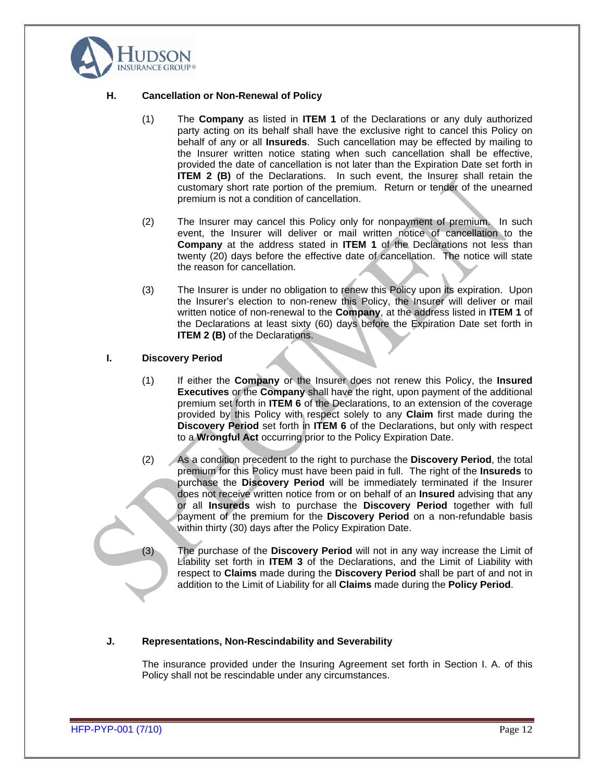

#### **H. Cancellation or Non-Renewal of Policy**

- (1) The **Company** as listed in **ITEM 1** of the Declarations or any duly authorized party acting on its behalf shall have the exclusive right to cancel this Policy on behalf of any or all **Insureds**. Such cancellation may be effected by mailing to the Insurer written notice stating when such cancellation shall be effective, provided the date of cancellation is not later than the Expiration Date set forth in **ITEM 2 (B)** of the Declarations. In such event, the Insurer shall retain the customary short rate portion of the premium. Return or tender of the unearned premium is not a condition of cancellation.
- (2) The Insurer may cancel this Policy only for nonpayment of premium. In such event, the Insurer will deliver or mail written notice of cancellation to the **Company** at the address stated in **ITEM 1** of the Declarations not less than twenty (20) days before the effective date of cancellation. The notice will state the reason for cancellation.
- (3) The Insurer is under no obligation to renew this Policy upon its expiration. Upon the Insurer's election to non-renew this Policy, the Insurer will deliver or mail written notice of non-renewal to the **Company**, at the address listed in **ITEM 1** of the Declarations at least sixty (60) days before the Expiration Date set forth in **ITEM 2 (B)** of the Declarations.

#### **I. Discovery Period**

- (1) If either the **Company** or the Insurer does not renew this Policy, the **Insured Executives** or the **Company** shall have the right, upon payment of the additional premium set forth in **ITEM 6** of the Declarations, to an extension of the coverage provided by this Policy with respect solely to any **Claim** first made during the **Discovery Period** set forth in **ITEM 6** of the Declarations, but only with respect to a **Wrongful Act** occurring prior to the Policy Expiration Date.
- (2) As a condition precedent to the right to purchase the **Discovery Period**, the total premium for this Policy must have been paid in full. The right of the **Insureds** to purchase the **Discovery Period** will be immediately terminated if the Insurer does not receive written notice from or on behalf of an **Insured** advising that any or all **Insureds** wish to purchase the **Discovery Period** together with full payment of the premium for the **Discovery Period** on a non-refundable basis within thirty (30) days after the Policy Expiration Date.
- (3) The purchase of the **Discovery Period** will not in any way increase the Limit of Liability set forth in **ITEM 3** of the Declarations, and the Limit of Liability with respect to **Claims** made during the **Discovery Period** shall be part of and not in addition to the Limit of Liability for all **Claims** made during the **Policy Period**.

#### **J. Representations, Non-Rescindability and Severability**

The insurance provided under the Insuring Agreement set forth in Section I. A. of this Policy shall not be rescindable under any circumstances.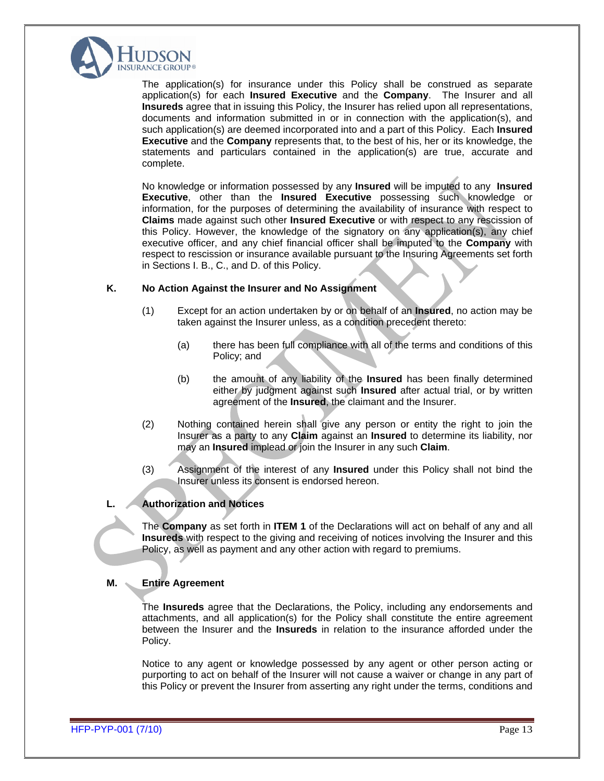

The application(s) for insurance under this Policy shall be construed as separate application(s) for each **Insured Executive** and the **Company**. The Insurer and all **Insureds** agree that in issuing this Policy, the Insurer has relied upon all representations, documents and information submitted in or in connection with the application(s), and such application(s) are deemed incorporated into and a part of this Policy. Each **Insured Executive** and the **Company** represents that, to the best of his, her or its knowledge, the statements and particulars contained in the application(s) are true, accurate and complete. The complete of the complete of the complete of the complete of the complete of the complete of the complete of the complete of the complete of the complete of the complete of the complete of the complete of the

No knowledge or information possessed by any **Insured** will be imputed to any **Insured Executive**, other than the **Insured Executive** possessing such knowledge or information, for the purposes of determining the availability of insurance with respect to **Claims** made against such other **Insured Executive** or with respect to any rescission of this Policy. However, the knowledge of the signatory on anyapplication(s), any chief executive officer, and any chief financial officer shall be imputed to the **Company** with respect to rescission or insurance available pursuant to the Insuring Agreements set forth in Sections I. B., C., and D. of this Policy.

#### **K. No Action Against the Insurer and No Assignment**

- (1) Except for an action undertaken by or on behalf of an **Insured**,no action may be taken against the Insurer unless, as a condition precedent thereto:
	- (a) there has been full compliance with all of the terms and conditions of this Policy; and **Policy; and**
	- (b) the amount of any liability of the **Insured** has been finally determined either by judgment against such **Insured** after actual trial, or by written agreement of the **Insured**, the claimant and the Insurer.
- (2) Nothing contained herein shall give any person or entity the right to join the Insurer as a party to any **Claim** against an **Insured** to determine its liability, nor may an **Insured** implead or join the Insurer in any such **Claim**.
- (3) Assignment of the interest of any **Insured** under this Policy shall not bind the Insurer unless its consent is endorsed hereon.

#### **L. Authorization and Notices**

The **Company** as set forth in **ITEM 1** of the Declarations will act on behalf of any and all **Insureds** with respect to the giving and receiving of notices involving the Insurer and this Policy, as well as payment and any other action with regard to premiums.

#### **M. Entire Agreement**

The **Insureds** agree that the Declarations, the Policy, including any endorsements and attachments, and all application(s) for the Policy shall constitute the entire agreement between the Insurer and the **Insureds** in relation to the insurance afforded under the Policy. The contract of the contract of the contract of the contract of the contract of the contract of the contract of the contract of the contract of the contract of the contract of the contract of the contract of the co

Notice to any agent or knowledge possessed by any agent or other person acting or purporting to act on behalf of the Insurer will not cause a waiver or change in any part of this Policy or prevent the Insurer from asserting any right under the terms, conditions and